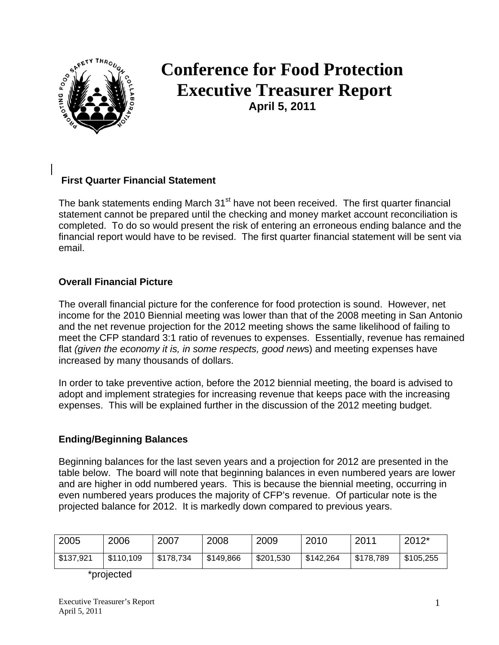

# **Conference for Food Protection Executive Treasurer Report April 5, 2011**

## **First Quarter Financial Statement**

The bank statements ending March 31<sup>st</sup> have not been received. The first quarter financial statement cannot be prepared until the checking and money market account reconciliation is completed. To do so would present the risk of entering an erroneous ending balance and the financial report would have to be revised. The first quarter financial statement will be sent via email.

#### **Overall Financial Picture**

The overall financial picture for the conference for food protection is sound. However, net income for the 2010 Biennial meeting was lower than that of the 2008 meeting in San Antonio and the net revenue projection for the 2012 meeting shows the same likelihood of failing to meet the CFP standard 3:1 ratio of revenues to expenses. Essentially, revenue has remained flat *(given the economy it is, in some respects, good new*s) and meeting expenses have increased by many thousands of dollars.

In order to take preventive action, before the 2012 biennial meeting, the board is advised to adopt and implement strategies for increasing revenue that keeps pace with the increasing expenses. This will be explained further in the discussion of the 2012 meeting budget.

### **Ending/Beginning Balances**

Beginning balances for the last seven years and a projection for 2012 are presented in the table below. The board will note that beginning balances in even numbered years are lower and are higher in odd numbered years. This is because the biennial meeting, occurring in even numbered years produces the majority of CFP's revenue. Of particular note is the projected balance for 2012. It is markedly down compared to previous years.

| 2005      | 2006      | 2007      | 2008      | 2009      | 2010      | 2011      | $2012*$   |
|-----------|-----------|-----------|-----------|-----------|-----------|-----------|-----------|
| \$137,921 | \$110,109 | \$178,734 | \$149,866 | \$201,530 | \$142,264 | \$178,789 | \$105,255 |

\*projected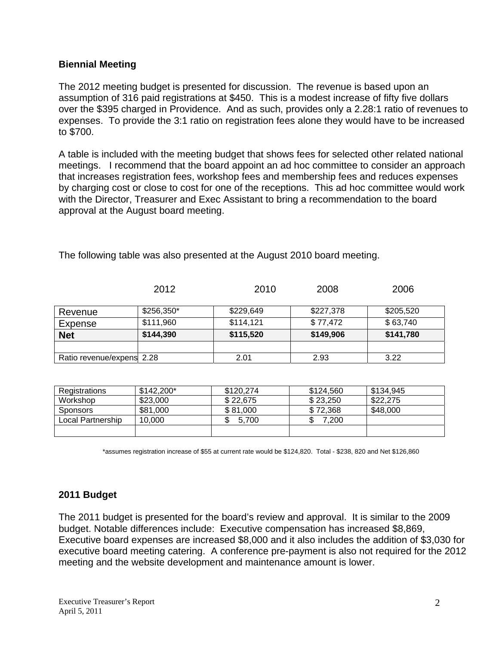#### **Biennial Meeting**

The 2012 meeting budget is presented for discussion. The revenue is based upon an assumption of 316 paid registrations at \$450. This is a modest increase of fifty five dollars over the \$395 charged in Providence. And as such, provides only a 2.28:1 ratio of revenues to expenses. To provide the 3:1 ratio on registration fees alone they would have to be increased to \$700.

A table is included with the meeting budget that shows fees for selected other related national meetings. I recommend that the board appoint an ad hoc committee to consider an approach that increases registration fees, workshop fees and membership fees and reduces expenses by charging cost or close to cost for one of the receptions. This ad hoc committee would work with the Director, Treasurer and Exec Assistant to bring a recommendation to the board approval at the August board meeting.

|                           | 2012       | 2010      | 2008      | 2006      |
|---------------------------|------------|-----------|-----------|-----------|
| Revenue                   | \$256,350* | \$229,649 | \$227,378 | \$205,520 |
| Expense                   | \$111,960  | \$114,121 | \$77,472  | \$63,740  |
| <b>Net</b>                | \$144,390  | \$115,520 | \$149,906 | \$141,780 |
|                           |            |           |           |           |
| Ratio revenue/expens 2.28 |            | 2.01      | 2.93      | 3.22      |

The following table was also presented at the August 2010 board meeting.

| Registrations     | $$142.200*$ | \$120.274 | \$124.560 | \$134,945 |
|-------------------|-------------|-----------|-----------|-----------|
| Workshop          | \$23,000    | \$22,675  | \$23,250  | \$22,275  |
| <b>Sponsors</b>   | \$81,000    | \$81,000  | \$72.368  | \$48,000  |
| Local Partnership | 10.000      | 5.700     | 7,200     |           |
|                   |             |           |           |           |

\*assumes registration increase of \$55 at current rate would be \$124,820. Total - \$238, 820 and Net \$126,860

### **2011 Budget**

The 2011 budget is presented for the board's review and approval. It is similar to the 2009 budget. Notable differences include: Executive compensation has increased \$8,869, Executive board expenses are increased \$8,000 and it also includes the addition of \$3,030 for executive board meeting catering. A conference pre-payment is also not required for the 2012 meeting and the website development and maintenance amount is lower.